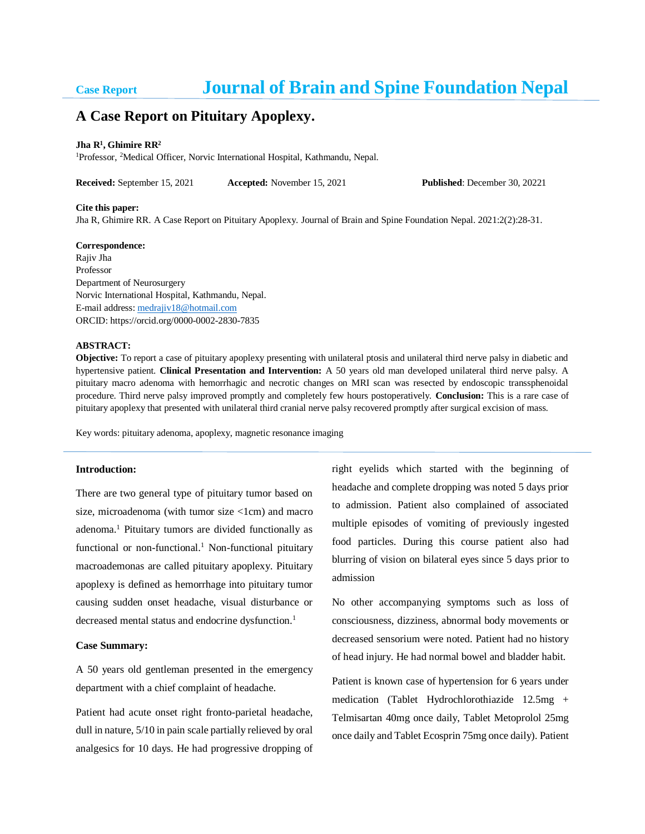# **Case Report Journal of Brain and Spine Foundation Nepal**

# **A Case Report on Pituitary Apoplexy.**

#### **Jha R<sup>1</sup> , Ghimire RR<sup>2</sup>**

<sup>1</sup>Professor, <sup>2</sup>Medical Officer, Norvic International Hospital, Kathmandu, Nepal.

**Received:** September 15, 2021 **Accepted:** November 15, 2021 **Published**: December 30, 20221

#### **Cite this paper:**

Jha R, Ghimire RR. A Case Report on Pituitary Apoplexy. Journal of Brain and Spine Foundation Nepal. 2021:2(2):28-31.

#### **Correspondence:**

Rajiv Jha Professor Department of Neurosurgery Norvic International Hospital, Kathmandu, Nepal. E-mail address: medrajiv18@hotmail.com ORCID: https://orcid.org/0000-0002-2830-7835

### **ABSTRACT:**

**Objective:** To report a case of pituitary apoplexy presenting with unilateral ptosis and unilateral third nerve palsy in diabetic and hypertensive patient. **Clinical Presentation and Intervention:** A 50 years old man developed unilateral third nerve palsy. A pituitary macro adenoma with hemorrhagic and necrotic changes on MRI scan was resected by endoscopic transsphenoidal procedure. Third nerve palsy improved promptly and completely few hours postoperatively. **Conclusion:** This is a rare case of pituitary apoplexy that presented with unilateral third cranial nerve palsy recovered promptly after surgical excision of mass.

Key words: pituitary adenoma, apoplexy, magnetic resonance imaging

#### **Introduction:**

There are two general type of pituitary tumor based on size, microadenoma (with tumor size <1cm) and macro adenoma.<sup>1</sup> Pituitary tumors are divided functionally as functional or non-functional.<sup>1</sup> Non-functional pituitary macroademonas are called pituitary apoplexy. Pituitary apoplexy is defined as hemorrhage into pituitary tumor causing sudden onset headache, visual disturbance or decreased mental status and endocrine dysfunction. 1

#### **Case Summary:**

A 50 years old gentleman presented in the emergency department with a chief complaint of headache.

Patient had acute onset right fronto-parietal headache, dull in nature, 5/10 in pain scale partially relieved by oral analgesics for 10 days. He had progressive dropping of right eyelids which started with the beginning of headache and complete dropping was noted 5 days prior to admission. Patient also complained of associated multiple episodes of vomiting of previously ingested food particles. During this course patient also had blurring of vision on bilateral eyes since 5 days prior to admission

No other accompanying symptoms such as loss of consciousness, dizziness, abnormal body movements or decreased sensorium were noted. Patient had no history of head injury. He had normal bowel and bladder habit.

Patient is known case of hypertension for 6 years under medication (Tablet Hydrochlorothiazide 12.5mg + Telmisartan 40mg once daily, Tablet Metoprolol 25mg once daily and Tablet Ecosprin 75mg once daily). Patient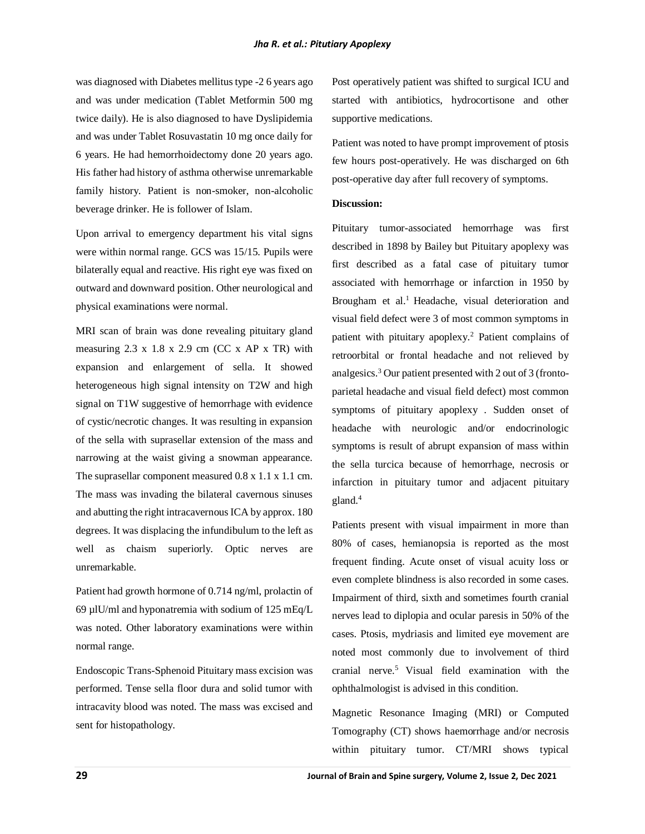was diagnosed with Diabetes mellitus type -2 6 years ago and was under medication (Tablet Metformin 500 mg twice daily). He is also diagnosed to have Dyslipidemia and was under Tablet Rosuvastatin 10 mg once daily for 6 years. He had hemorrhoidectomy done 20 years ago. His father had history of asthma otherwise unremarkable family history. Patient is non-smoker, non-alcoholic beverage drinker. He is follower of Islam.

Upon arrival to emergency department his vital signs were within normal range. GCS was 15/15. Pupils were bilaterally equal and reactive. His right eye was fixed on outward and downward position. Other neurological and physical examinations were normal.

MRI scan of brain was done revealing pituitary gland measuring  $2.3 \times 1.8 \times 2.9$  cm (CC  $\times$  AP  $\times$  TR) with expansion and enlargement of sella. It showed heterogeneous high signal intensity on T2W and high signal on T1W suggestive of hemorrhage with evidence of cystic/necrotic changes. It was resulting in expansion of the sella with suprasellar extension of the mass and narrowing at the waist giving a snowman appearance. The suprasellar component measured 0.8 x 1.1 x 1.1 cm. The mass was invading the bilateral cavernous sinuses and abutting the right intracavernous ICA by approx. 180 degrees. It was displacing the infundibulum to the left as well as chaism superiorly. Optic nerves are unremarkable.

Patient had growth hormone of 0.714 ng/ml, prolactin of 69 µlU/ml and hyponatremia with sodium of 125 mEq/L was noted. Other laboratory examinations were within normal range.

Endoscopic Trans-Sphenoid Pituitary mass excision was performed. Tense sella floor dura and solid tumor with intracavity blood was noted. The mass was excised and sent for histopathology.

Post operatively patient was shifted to surgical ICU and started with antibiotics, hydrocortisone and other supportive medications.

Patient was noted to have prompt improvement of ptosis few hours post-operatively. He was discharged on 6th post-operative day after full recovery of symptoms.

# **Discussion:**

Pituitary tumor-associated hemorrhage was first described in 1898 by Bailey but Pituitary apoplexy was first described as a fatal case of pituitary tumor associated with hemorrhage or infarction in 1950 by Brougham et al.<sup>1</sup> Headache, visual deterioration and visual field defect were 3 of most common symptoms in patient with pituitary apoplexy.<sup>2</sup> Patient complains of retroorbital or frontal headache and not relieved by analgesics.<sup>3</sup> Our patient presented with 2 out of 3 (frontoparietal headache and visual field defect) most common symptoms of pituitary apoplexy . Sudden onset of headache with neurologic and/or endocrinologic symptoms is result of abrupt expansion of mass within the sella turcica because of hemorrhage, necrosis or infarction in pituitary tumor and adjacent pituitary gland.<sup>4</sup>

Patients present with visual impairment in more than 80% of cases, hemianopsia is reported as the most frequent finding. Acute onset of visual acuity loss or even complete blindness is also recorded in some cases. Impairment of third, sixth and sometimes fourth cranial nerves lead to diplopia and ocular paresis in 50% of the cases. Ptosis, mydriasis and limited eye movement are noted most commonly due to involvement of third cranial nerve. $5$  Visual field examination with the ophthalmologist is advised in this condition.

Magnetic Resonance Imaging (MRI) or Computed Tomography (CT) shows haemorrhage and/or necrosis within pituitary tumor. CT/MRI shows typical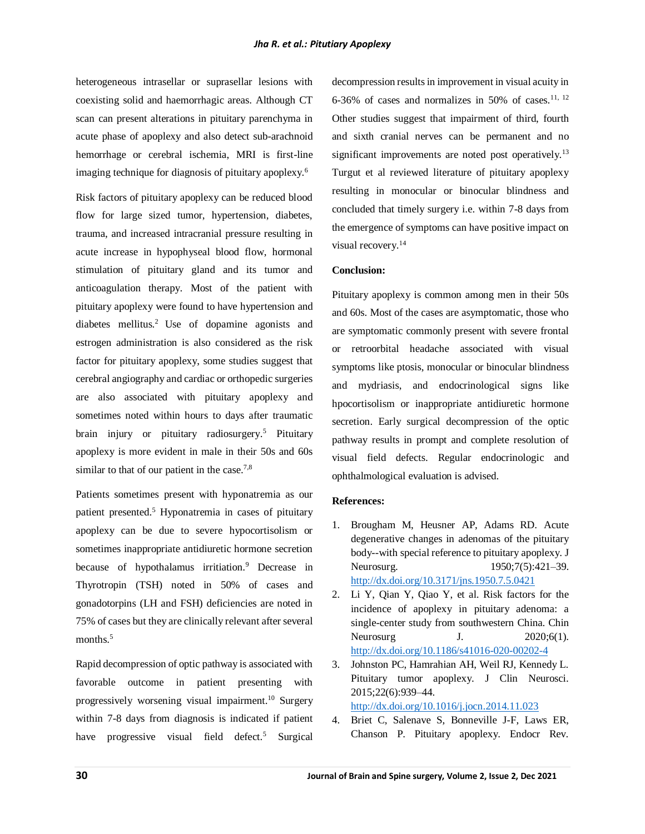heterogeneous intrasellar or suprasellar lesions with coexisting solid and haemorrhagic areas. Although CT scan can present alterations in pituitary parenchyma in acute phase of apoplexy and also detect sub-arachnoid hemorrhage or cerebral ischemia, MRI is first-line imaging technique for diagnosis of pituitary apoplexy.<sup>6</sup>

Risk factors of pituitary apoplexy can be reduced blood flow for large sized tumor, hypertension, diabetes, trauma, and increased intracranial pressure resulting in acute increase in hypophyseal blood flow, hormonal stimulation of pituitary gland and its tumor and anticoagulation therapy. Most of the patient with pituitary apoplexy were found to have hypertension and diabetes mellitus.<sup>2</sup> Use of dopamine agonists and estrogen administration is also considered as the risk factor for pituitary apoplexy, some studies suggest that cerebral angiography and cardiac or orthopedic surgeries are also associated with pituitary apoplexy and sometimes noted within hours to days after traumatic brain injury or pituitary radiosurgery. <sup>5</sup> Pituitary apoplexy is more evident in male in their 50s and 60s similar to that of our patient in the case.<sup>7,8</sup>

Patients sometimes present with hyponatremia as our patient presented.<sup>5</sup> Hyponatremia in cases of pituitary apoplexy can be due to severe hypocortisolism or sometimes inappropriate antidiuretic hormone secretion because of hypothalamus irritiation.<sup>9</sup> Decrease in Thyrotropin (TSH) noted in 50% of cases and gonadotorpins (LH and FSH) deficiencies are noted in 75% of cases but they are clinically relevant after several months.<sup>5</sup>

Rapid decompression of optic pathway is associated with favorable outcome in patient presenting with progressively worsening visual impairment.<sup>10</sup> Surgery within 7-8 days from diagnosis is indicated if patient have progressive visual field defect.<sup>5</sup> Surgical

decompression results in improvement in visual acuity in 6-36% of cases and normalizes in 50% of cases.<sup>11, 12</sup> Other studies suggest that impairment of third, fourth and sixth cranial nerves can be permanent and no significant improvements are noted post operatively.<sup>13</sup> Turgut et al reviewed literature of pituitary apoplexy resulting in monocular or binocular blindness and concluded that timely surgery i.e. within 7-8 days from the emergence of symptoms can have positive impact on visual recovery.<sup>14</sup>

# **Conclusion:**

Pituitary apoplexy is common among men in their 50s and 60s. Most of the cases are asymptomatic, those who are symptomatic commonly present with severe frontal or retroorbital headache associated with visual symptoms like ptosis, monocular or binocular blindness and mydriasis, and endocrinological signs like hpocortisolism or inappropriate antidiuretic hormone secretion. Early surgical decompression of the optic pathway results in prompt and complete resolution of visual field defects. Regular endocrinologic and ophthalmological evaluation is advised.

## **References:**

- 1. Brougham M, Heusner AP, Adams RD. Acute degenerative changes in adenomas of the pituitary body--with special reference to pituitary apoplexy. J Neurosurg. 1950;7(5):421–39. <http://dx.doi.org/10.3171/jns.1950.7.5.0421>
- 2. Li Y, Qian Y, Qiao Y, et al. Risk factors for the incidence of apoplexy in pituitary adenoma: a single-center study from southwestern China. Chin Neurosurg **J**. 2020;6(1). <http://dx.doi.org/10.1186/s41016-020-00202-4>
- 3. Johnston PC, Hamrahian AH, Weil RJ, Kennedy L. Pituitary tumor apoplexy. J Clin Neurosci. 2015;22(6):939–44. <http://dx.doi.org/10.1016/j.jocn.2014.11.023>
- 4. Briet C, Salenave S, Bonneville J-F, Laws ER, Chanson P. Pituitary apoplexy. Endocr Rev.